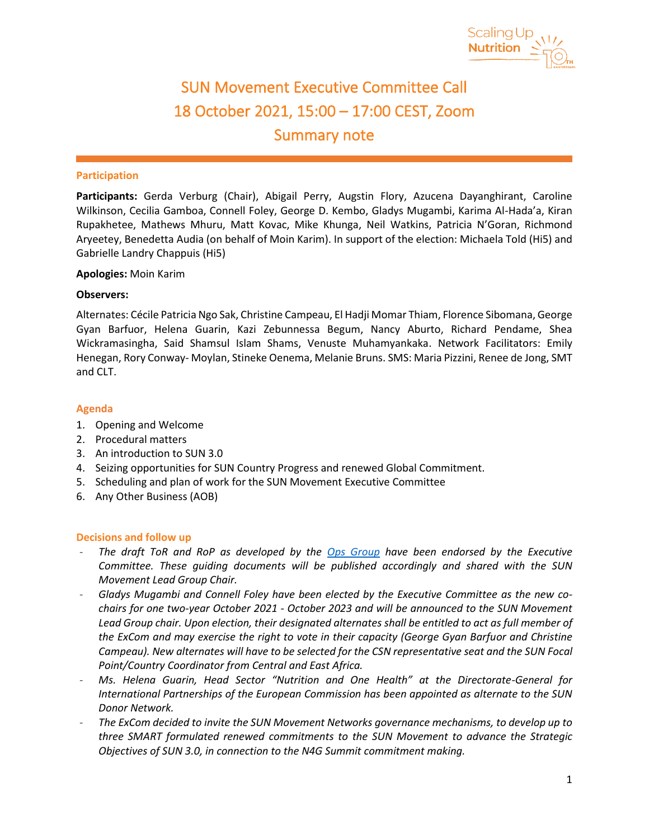

 $\overline{a}$ 

# SUN Movement Executive Committee Call 18 October 2021, 15:00 – 17:00 CEST, Zoom Summary note

### **Participation**

**Participants:** Gerda Verburg (Chair), Abigail Perry, Augstin Flory, Azucena Dayanghirant, Caroline Wilkinson, Cecilia Gamboa, Connell Foley, George D. Kembo, Gladys Mugambi, Karima Al-Hada'a, Kiran Rupakhetee, Mathews Mhuru, Matt Kovac, Mike Khunga, Neil Watkins, Patricia N'Goran, Richmond Aryeetey, Benedetta Audia (on behalf of Moin Karim). In support of the election: Michaela Told (Hi5) and Gabrielle Landry Chappuis (Hi5)

#### **Apologies:** Moin Karim

### **Observers:**

Alternates: Cécile Patricia Ngo Sak, Christine Campeau, El Hadji Momar Thiam, Florence Sibomana, George Gyan Barfuor, Helena Guarin, Kazi Zebunnessa Begum, Nancy Aburto, Richard Pendame, Shea Wickramasingha, Said Shamsul Islam Shams, Venuste Muhamyankaka. Network Facilitators: Emily Henegan, Rory Conway- Moylan, Stineke Oenema, Melanie Bruns. SMS: Maria Pizzini, Renee de Jong, SMT and CLT.

### **Agenda**

- 1. Opening and Welcome
- 2. Procedural matters
- 3. An introduction to SUN 3.0
- 4. Seizing opportunities for SUN Country Progress and renewed Global Commitment.
- 5. Scheduling and plan of work for the SUN Movement Executive Committee
- 6. Any Other Business (AOB)

#### **Decisions and follow up**

- *The draft ToR and RoP as developed by the [Ops Group](https://scalingupnutrition.org/wp-content/uploads/2021/06/SD1-TOR-of-the-OPS-Group.pdf) have been endorsed by the Executive Committee. These guiding documents will be published accordingly and shared with the SUN Movement Lead Group Chair.*
- *Gladys Mugambi and Connell Foley have been elected by the Executive Committee as the new cochairs for one two-year October 2021 - October 2023 and will be announced to the SUN Movement Lead Group chair. Upon election, their designated alternates shall be entitled to act as full member of the ExCom and may exercise the right to vote in their capacity (George Gyan Barfuor and Christine Campeau). New alternates will have to be selected for the CSN representative seat and the SUN Focal Point/Country Coordinator from Central and East Africa.*
- *Ms. Helena Guarin, Head Sector "Nutrition and One Health" at the Directorate-General for International Partnerships of the European Commission has been appointed as alternate to the SUN Donor Network.*
- *The ExCom decided to invite the SUN Movement Networks governance mechanisms, to develop up to three SMART formulated renewed commitments to the SUN Movement to advance the Strategic Objectives of SUN 3.0, in connection to the N4G Summit commitment making.*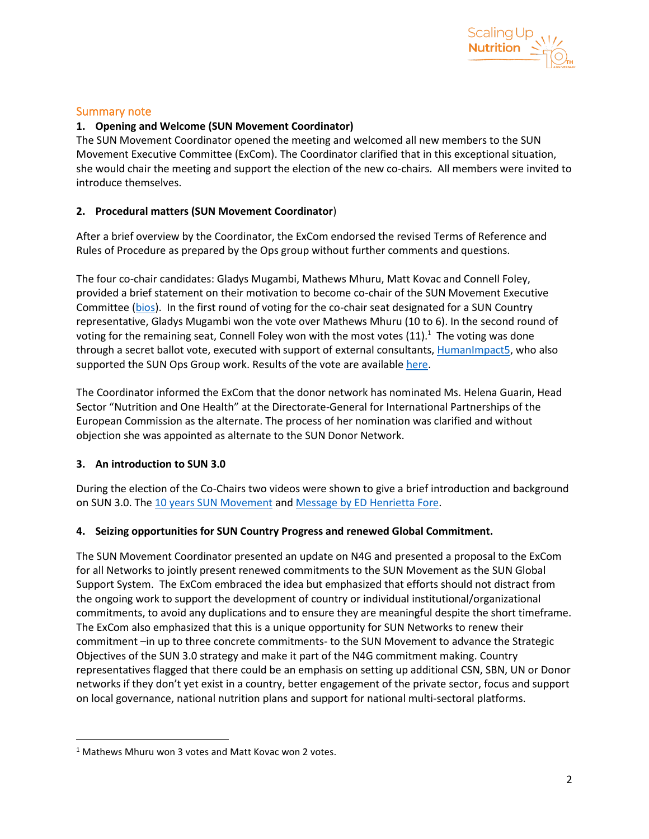

## Summary note

# **1. Opening and Welcome (SUN Movement Coordinator)**

The SUN Movement Coordinator opened the meeting and welcomed all new members to the SUN Movement Executive Committee (ExCom). The Coordinator clarified that in this exceptional situation, she would chair the meeting and support the election of the new co-chairs. All members were invited to introduce themselves.

## **2. Procedural matters (SUN Movement Coordinator**)

After a brief overview by the Coordinator, the ExCom endorsed the revised Terms of Reference and Rules of Procedure as prepared by the Ops group without further comments and questions.

The four co-chair candidates: Gladys Mugambi, Mathews Mhuru, Matt Kovac and Connell Foley, provided a brief statement on their motivation to become co-chair of the SUN Movement Executive Committee [\(bios\)](https://scalingupnutrition.sharepoint.com/:w:/s/public55/EekHa77jnQdMgR7v0Urs_CQBFwXmSh0cau4XdTzQrwKr6Q?e=CfEih3). In the first round of voting for the co-chair seat designated for a SUN Country representative, Gladys Mugambi won the vote over Mathews Mhuru (10 to 6). In the second round of voting for the remaining seat, Connell Foley won with the most votes  $(11)<sup>1</sup>$ . The voting was done through a secret ballot vote, executed with support of external consultants[, HumanImpact5,](https://humanimpact5.ch/hi5-people/) who also supported the SUN Ops Group work. Results of the vote are available [here.](https://scalingupnutrition.sharepoint.com/:b:/s/public55/Efmb_1T1kVlAlddz5V49WloBTACd5PRoPXP_U-05XGRhWg?e=Y7Wfdg)

The Coordinator informed the ExCom that the donor network has nominated Ms. Helena Guarin, Head Sector "Nutrition and One Health" at the Directorate-General for International Partnerships of the European Commission as the alternate. The process of her nomination was clarified and without objection she was appointed as alternate to the SUN Donor Network.

## **3. An introduction to SUN 3.0**

During the election of the Co-Chairs two videos were shown to give a brief introduction and background on SUN 3.0. The [10 years SUN Movement](https://www.youtube.com/watch?v=MjnP2Ladhe8&ab_channel=ScalingUpNutritionMovement) and [Message by ED Henrietta Fore.](https://www.youtube.com/watch?v=SKxYTgcVNfo&ab_channel=ScalingUpNutritionMovement)

## **4. Seizing opportunities for SUN Country Progress and renewed Global Commitment.**

The SUN Movement Coordinator presented an update on N4G and presented a proposal to the ExCom for all Networks to jointly present renewed commitments to the SUN Movement as the SUN Global Support System. The ExCom embraced the idea but emphasized that efforts should not distract from the ongoing work to support the development of country or individual institutional/organizational commitments, to avoid any duplications and to ensure they are meaningful despite the short timeframe. The ExCom also emphasized that this is a unique opportunity for SUN Networks to renew their commitment –in up to three concrete commitments- to the SUN Movement to advance the Strategic Objectives of the SUN 3.0 strategy and make it part of the N4G commitment making. Country representatives flagged that there could be an emphasis on setting up additional CSN, SBN, UN or Donor networks if they don't yet exist in a country, better engagement of the private sector, focus and support on local governance, national nutrition plans and support for national multi-sectoral platforms.

 $1$  Mathews Mhuru won 3 votes and Matt Kovac won 2 votes.